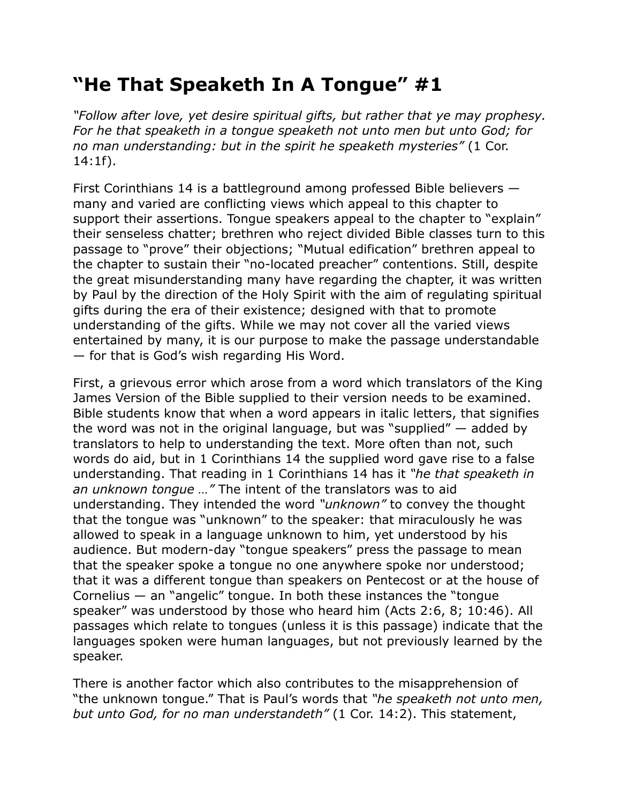## **"He That Speaketh In A Tongue" #1**

*"Follow after love, yet desire spiritual gifts, but rather that ye may prophesy. For he that speaketh in a tongue speaketh not unto men but unto God; for no man understanding: but in the spirit he speaketh mysteries"* (1 Cor. 14:1f).

First Corinthians 14 is a battleground among professed Bible believers many and varied are conflicting views which appeal to this chapter to support their assertions. Tongue speakers appeal to the chapter to "explain" their senseless chatter; brethren who reject divided Bible classes turn to this passage to "prove" their objections; "Mutual edification" brethren appeal to the chapter to sustain their "no-located preacher" contentions. Still, despite the great misunderstanding many have regarding the chapter, it was written by Paul by the direction of the Holy Spirit with the aim of regulating spiritual gifts during the era of their existence; designed with that to promote understanding of the gifts. While we may not cover all the varied views entertained by many, it is our purpose to make the passage understandable — for that is God's wish regarding His Word.

First, a grievous error which arose from a word which translators of the King James Version of the Bible supplied to their version needs to be examined. Bible students know that when a word appears in italic letters, that signifies the word was not in the original language, but was "supplied" — added by translators to help to understanding the text. More often than not, such words do aid, but in 1 Corinthians 14 the supplied word gave rise to a false understanding. That reading in 1 Corinthians 14 has it *"he that speaketh in an unknown tongue …"* The intent of the translators was to aid understanding. They intended the word *"unknown"* to convey the thought that the tongue was "unknown" to the speaker: that miraculously he was allowed to speak in a language unknown to him, yet understood by his audience. But modern-day "tongue speakers" press the passage to mean that the speaker spoke a tongue no one anywhere spoke nor understood; that it was a different tongue than speakers on Pentecost or at the house of Cornelius  $-$  an "angelic" tongue. In both these instances the "tongue speaker" was understood by those who heard him (Acts 2:6, 8; 10:46). All passages which relate to tongues (unless it is this passage) indicate that the languages spoken were human languages, but not previously learned by the speaker.

There is another factor which also contributes to the misapprehension of "the unknown tongue." That is Paul's words that *"he speaketh not unto men, but unto God, for no man understandeth"* (1 Cor. 14:2). This statement,